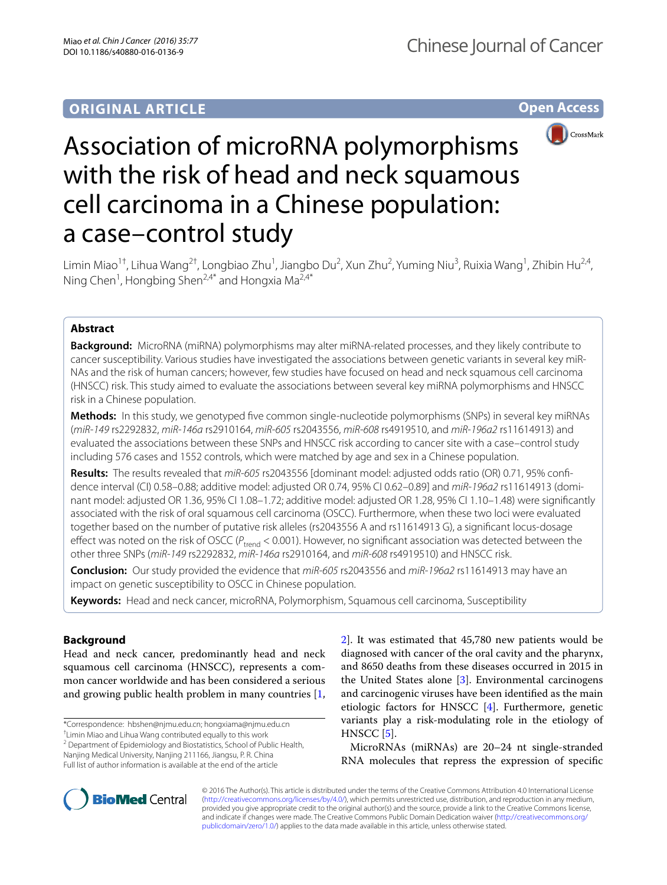**Open Access**



# Association of microRNA polymorphisms with the risk of head and neck squamous cell carcinoma in a Chinese population: a case–control study

Limin Miao<sup>1†</sup>, Lihua Wang<sup>2†</sup>, Longbiao Zhu<sup>1</sup>, Jiangbo Du<sup>2</sup>, Xun Zhu<sup>2</sup>, Yuming Niu<sup>3</sup>, Ruixia Wang<sup>1</sup>, Zhibin Hu<sup>2,4</sup>, Ning Chen<sup>1</sup>, Hongbing Shen<sup>2,4\*</sup> and Hongxia Ma<sup>2,4\*</sup>

# **Abstract**

**Background:** MicroRNA (miRNA) polymorphisms may alter miRNA-related processes, and they likely contribute to cancer susceptibility. Various studies have investigated the associations between genetic variants in several key miR-NAs and the risk of human cancers; however, few studies have focused on head and neck squamous cell carcinoma (HNSCC) risk. This study aimed to evaluate the associations between several key miRNA polymorphisms and HNSCC risk in a Chinese population.

**Methods:** In this study, we genotyped five common single-nucleotide polymorphisms (SNPs) in several key miRNAs (*miR*-*149* rs2292832, *miR*-*146a* rs2910164, *miR*-*605* rs2043556, *miR*-*608* rs4919510, and *miR*-*196a2* rs11614913) and evaluated the associations between these SNPs and HNSCC risk according to cancer site with a case–control study including 576 cases and 1552 controls, which were matched by age and sex in a Chinese population.

**Results:** The results revealed that *miR*-*605* rs2043556 [dominant model: adjusted odds ratio (OR) 0.71, 95% confidence interval (CI) 0.58–0.88; additive model: adjusted OR 0.74, 95% CI 0.62–0.89] and *miR*-*196a2* rs11614913 (dominant model: adjusted OR 1.36, 95% CI 1.08–1.72; additive model: adjusted OR 1.28, 95% CI 1.10–1.48) were significantly associated with the risk of oral squamous cell carcinoma (OSCC). Furthermore, when these two loci were evaluated together based on the number of putative risk alleles (rs2043556 A and rs11614913 G), a significant locus-dosage effect was noted on the risk of OSCC ( $P_{trend}$  < 0.001). However, no significant association was detected between the other three SNPs (*miR*-*149* rs2292832, *miR*-*146a* rs2910164, and *miR*-*608* rs4919510) and HNSCC risk.

**Conclusion:** Our study provided the evidence that *miR*-*605* rs2043556 and *miR*-*196a2* rs11614913 may have an impact on genetic susceptibility to OSCC in Chinese population.

**Keywords:** Head and neck cancer, microRNA, Polymorphism, Squamous cell carcinoma, Susceptibility

# **Background**

Head and neck cancer, predominantly head and neck squamous cell carcinoma (HNSCC), represents a common cancer worldwide and has been considered a serious and growing public health problem in many countries [\[1](#page-7-0),

\*Correspondence: hbshen@njmu.edu.cn; hongxiama@njmu.edu.cn

† Limin Miao and Lihua Wang contributed equally to this work

<sup>2</sup> Department of Epidemiology and Biostatistics, School of Public Health, Nanjing Medical University, Nanjing 211166, Jiangsu, P. R. China Full list of author information is available at the end of the article

[2\]](#page-7-1). It was estimated that 45,780 new patients would be diagnosed with cancer of the oral cavity and the pharynx, and 8650 deaths from these diseases occurred in 2015 in the United States alone [[3\]](#page-7-2). Environmental carcinogens and carcinogenic viruses have been identified as the main etiologic factors for HNSCC [[4\]](#page-7-3). Furthermore, genetic variants play a risk-modulating role in the etiology of HNSCC [\[5](#page-7-4)].

MicroRNAs (miRNAs) are 20–24 nt single-stranded RNA molecules that repress the expression of specific



© 2016 The Author(s). This article is distributed under the terms of the Creative Commons Attribution 4.0 International License [\(http://creativecommons.org/licenses/by/4.0/\)](http://creativecommons.org/licenses/by/4.0/), which permits unrestricted use, distribution, and reproduction in any medium, provided you give appropriate credit to the original author(s) and the source, provide a link to the Creative Commons license, and indicate if changes were made. The Creative Commons Public Domain Dedication waiver ([http://creativecommons.org/](http://creativecommons.org/publicdomain/zero/1.0/) [publicdomain/zero/1.0/](http://creativecommons.org/publicdomain/zero/1.0/)) applies to the data made available in this article, unless otherwise stated.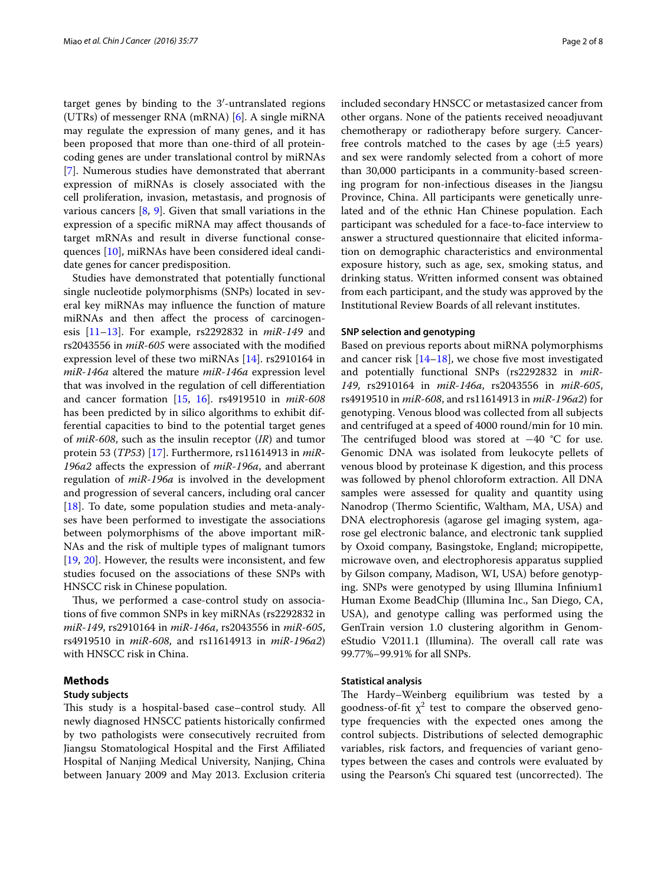target genes by binding to the 3′-untranslated regions (UTRs) of messenger RNA (mRNA)  $[6]$  $[6]$ . A single miRNA may regulate the expression of many genes, and it has been proposed that more than one-third of all proteincoding genes are under translational control by miRNAs [[7\]](#page-7-6). Numerous studies have demonstrated that aberrant expression of miRNAs is closely associated with the cell proliferation, invasion, metastasis, and prognosis of various cancers  $[8, 9]$  $[8, 9]$  $[8, 9]$  $[8, 9]$  $[8, 9]$ . Given that small variations in the expression of a specific miRNA may affect thousands of target mRNAs and result in diverse functional consequences [[10](#page-7-9)], miRNAs have been considered ideal candidate genes for cancer predisposition.

Studies have demonstrated that potentially functional single nucleotide polymorphisms (SNPs) located in several key miRNAs may influence the function of mature miRNAs and then affect the process of carcinogenesis [[11](#page-7-10)[–13](#page-7-11)]. For example, rs2292832 in *miR*-*149* and rs2043556 in *miR*-*605* were associated with the modified expression level of these two miRNAs [\[14](#page-7-12)]. rs2910164 in *miR*-*146a* altered the mature *miR*-*146a* expression level that was involved in the regulation of cell differentiation and cancer formation [[15,](#page-7-13) [16\]](#page-7-14). rs4919510 in *miR*-*608* has been predicted by in silico algorithms to exhibit differential capacities to bind to the potential target genes of *miR*-*608*, such as the insulin receptor (*IR*) and tumor protein 53 (*TP53*) [\[17](#page-7-15)]. Furthermore, rs11614913 in *miR*-*196a2* affects the expression of *miR*-*196a*, and aberrant regulation of *miR*-*196a* is involved in the development and progression of several cancers, including oral cancer [[18\]](#page-7-16). To date, some population studies and meta-analyses have been performed to investigate the associations between polymorphisms of the above important miR-NAs and the risk of multiple types of malignant tumors [[19,](#page-7-17) [20\]](#page-7-18). However, the results were inconsistent, and few studies focused on the associations of these SNPs with HNSCC risk in Chinese population.

Thus, we performed a case-control study on associations of five common SNPs in key miRNAs (rs2292832 in *miR*-*149*, rs2910164 in *miR*-*146a*, rs2043556 in *miR*-*605*, rs4919510 in *miR*-*608*, and rs11614913 in *miR*-*196a2*) with HNSCC risk in China.

#### **Methods**

## **Study subjects**

This study is a hospital-based case–control study. All newly diagnosed HNSCC patients historically confirmed by two pathologists were consecutively recruited from Jiangsu Stomatological Hospital and the First Affiliated Hospital of Nanjing Medical University, Nanjing, China between January 2009 and May 2013. Exclusion criteria included secondary HNSCC or metastasized cancer from other organs. None of the patients received neoadjuvant chemotherapy or radiotherapy before surgery. Cancerfree controls matched to the cases by age  $(\pm 5 \text{ years})$ and sex were randomly selected from a cohort of more than 30,000 participants in a community-based screening program for non-infectious diseases in the Jiangsu Province, China. All participants were genetically unrelated and of the ethnic Han Chinese population. Each participant was scheduled for a face-to-face interview to answer a structured questionnaire that elicited information on demographic characteristics and environmental exposure history, such as age, sex, smoking status, and drinking status. Written informed consent was obtained from each participant, and the study was approved by the Institutional Review Boards of all relevant institutes.

### **SNP selection and genotyping**

Based on previous reports about miRNA polymorphisms and cancer risk  $[14–18]$  $[14–18]$  $[14–18]$ , we chose five most investigated and potentially functional SNPs (rs2292832 in *miR*-*149*, rs2910164 in *miR*-*146a*, rs2043556 in *miR*-*605*, rs4919510 in *miR*-*608*, and rs11614913 in *miR*-*196a2*) for genotyping. Venous blood was collected from all subjects and centrifuged at a speed of 4000 round/min for 10 min. The centrifuged blood was stored at −40 °C for use. Genomic DNA was isolated from leukocyte pellets of venous blood by proteinase K digestion, and this process was followed by phenol chloroform extraction. All DNA samples were assessed for quality and quantity using Nanodrop (Thermo Scientific, Waltham, MA, USA) and DNA electrophoresis (agarose gel imaging system, agarose gel electronic balance, and electronic tank supplied by Oxoid company, Basingstoke, England; micropipette, microwave oven, and electrophoresis apparatus supplied by Gilson company, Madison, WI, USA) before genotyping. SNPs were genotyped by using Illumina Infinium1 Human Exome BeadChip (Illumina Inc., San Diego, CA, USA), and genotype calling was performed using the GenTrain version 1.0 clustering algorithm in GenomeStudio V2011.1 (Illumina). The overall call rate was 99.77%–99.91% for all SNPs.

# **Statistical analysis**

The Hardy–Weinberg equilibrium was tested by a goodness-of-fit  $\chi^2$  test to compare the observed genotype frequencies with the expected ones among the control subjects. Distributions of selected demographic variables, risk factors, and frequencies of variant genotypes between the cases and controls were evaluated by using the Pearson's Chi squared test (uncorrected). The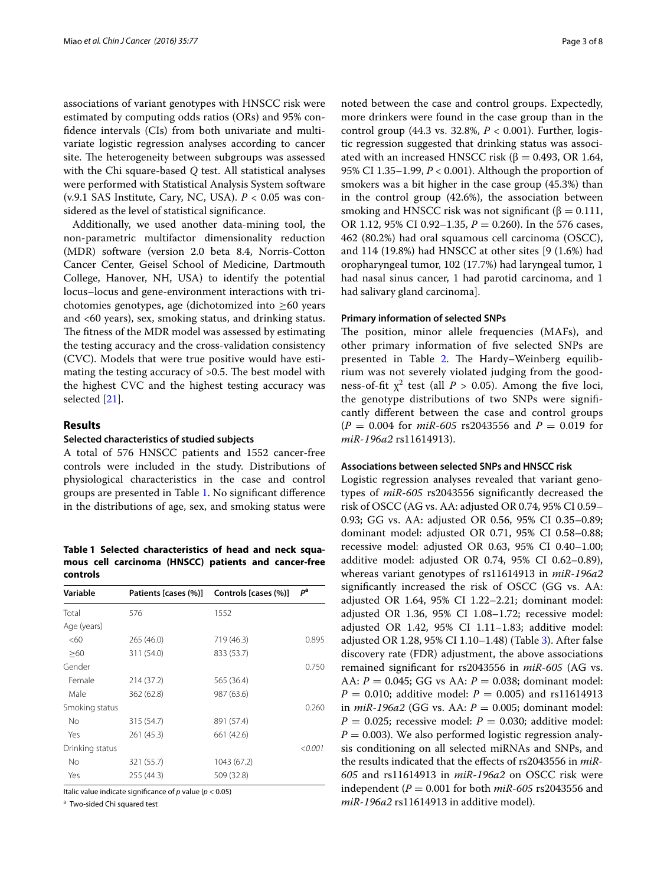associations of variant genotypes with HNSCC risk were estimated by computing odds ratios (ORs) and 95% confidence intervals (CIs) from both univariate and multivariate logistic regression analyses according to cancer site. The heterogeneity between subgroups was assessed with the Chi square-based *Q* test. All statistical analyses were performed with Statistical Analysis System software (v.9.1 SAS Institute, Cary, NC, USA). *P* < 0.05 was considered as the level of statistical significance.

Additionally, we used another data-mining tool, the non-parametric multifactor dimensionality reduction (MDR) software (version 2.0 beta 8.4, Norris-Cotton Cancer Center, Geisel School of Medicine, Dartmouth College, Hanover, NH, USA) to identify the potential locus–locus and gene-environment interactions with trichotomies genotypes, age (dichotomized into  $\geq 60$  years and <60 years), sex, smoking status, and drinking status. The fitness of the MDR model was assessed by estimating the testing accuracy and the cross-validation consistency (CVC). Models that were true positive would have estimating the testing accuracy of >0.5. The best model with the highest CVC and the highest testing accuracy was selected [\[21\]](#page-7-19).

# **Results**

#### **Selected characteristics of studied subjects**

A total of 576 HNSCC patients and 1552 cancer-free controls were included in the study. Distributions of physiological characteristics in the case and control groups are presented in Table [1](#page-2-0). No significant difference in the distributions of age, sex, and smoking status were

<span id="page-2-0"></span>**Table 1 Selected characteristics of head and neck squamous cell carcinoma (HNSCC) patients and cancer-free controls**

| Variable        | Patients [cases (%)] | Controls [cases (%)] | pa      |  |
|-----------------|----------------------|----------------------|---------|--|
| Total           | 576                  | 1552                 |         |  |
| Age (years)     |                      |                      |         |  |
| <60             | 265 (46.0)           | 719 (46.3)           | 0.895   |  |
| >60             | 311 (54.0)           | 833 (53.7)           |         |  |
| Gender          |                      |                      | 0.750   |  |
| Female          | 214 (37.2)           | 565 (36.4)           |         |  |
| Male            | 362 (62.8)           | 987 (63.6)           |         |  |
| Smoking status  |                      |                      | 0.260   |  |
| No              | 315 (54.7)           | 891 (57.4)           |         |  |
| Yes             | 261 (45.3)           | 661 (42.6)           |         |  |
| Drinking status |                      |                      | < 0.001 |  |
| N <sub>o</sub>  | 321 (55.7)           | 1043 (67.2)          |         |  |
| Yes             | 255 (44.3)           | 509 (32.8)           |         |  |

Italic value indicate significance of *p* value (*p* < 0.05)

a Two-sided Chi squared test

noted between the case and control groups. Expectedly, more drinkers were found in the case group than in the control group (44.3 vs. 32.8%, *P* < 0.001). Further, logistic regression suggested that drinking status was associated with an increased HNSCC risk ( $β = 0.493$ , OR 1.64, 95% CI 1.35–1.99, *P* < 0.001). Although the proportion of smokers was a bit higher in the case group (45.3%) than in the control group (42.6%), the association between smoking and HNSCC risk was not significant ( $\beta = 0.111$ , OR 1.12, 95% CI 0.92–1.35, *P* = 0.260). In the 576 cases, 462 (80.2%) had oral squamous cell carcinoma (OSCC), and 114 (19.8%) had HNSCC at other sites [9 (1.6%) had oropharyngeal tumor, 102 (17.7%) had laryngeal tumor, 1 had nasal sinus cancer, 1 had parotid carcinoma, and 1 had salivary gland carcinoma].

#### **Primary information of selected SNPs**

The position, minor allele frequencies (MAFs), and other primary information of five selected SNPs are presented in Table [2.](#page-3-0) The Hardy–Weinberg equilibrium was not severely violated judging from the goodness-of-fit  $\chi^2$  test (all *P* > 0.05). Among the five loci, the genotype distributions of two SNPs were significantly different between the case and control groups (*P* = 0.004 for *miR*-*605* rs2043556 and *P* = 0.019 for *miR*-*196a2* rs11614913).

#### **Associations between selected SNPs and HNSCC risk**

Logistic regression analyses revealed that variant genotypes of *miR*-*605* rs2043556 significantly decreased the risk of OSCC (AG vs. AA: adjusted OR 0.74, 95% CI 0.59– 0.93; GG vs. AA: adjusted OR 0.56, 95% CI 0.35–0.89; dominant model: adjusted OR 0.71, 95% CI 0.58–0.88; recessive model: adjusted OR 0.63, 95% CI 0.40–1.00; additive model: adjusted OR 0.74, 95% CI 0.62–0.89), whereas variant genotypes of rs11614913 in *miR*-*196a2* significantly increased the risk of OSCC (GG vs. AA: adjusted OR 1.64, 95% CI 1.22–2.21; dominant model: adjusted OR 1.36, 95% CI 1.08–1.72; recessive model: adjusted OR 1.42, 95% CI 1.11–1.83; additive model: adjusted OR 1.28, 95% CI 1.10–1.48) (Table [3\)](#page-4-0). After false discovery rate (FDR) adjustment, the above associations remained significant for rs2043556 in *miR*-*605* (AG vs. AA: *P* = 0.045; GG vs AA: *P* = 0.038; dominant model:  $P = 0.010$ ; additive model:  $P = 0.005$ ) and rs11614913 in *miR*-*196a2* (GG vs. AA: *P* = 0.005; dominant model:  $P = 0.025$ ; recessive model:  $P = 0.030$ ; additive model:  $P = 0.003$ ). We also performed logistic regression analysis conditioning on all selected miRNAs and SNPs, and the results indicated that the effects of rs2043556 in *miR*-*605* and rs11614913 in *miR*-*196a2* on OSCC risk were independent (*P* = 0.001 for both *miR*-*605* rs2043556 and *miR*-*196a2* rs11614913 in additive model).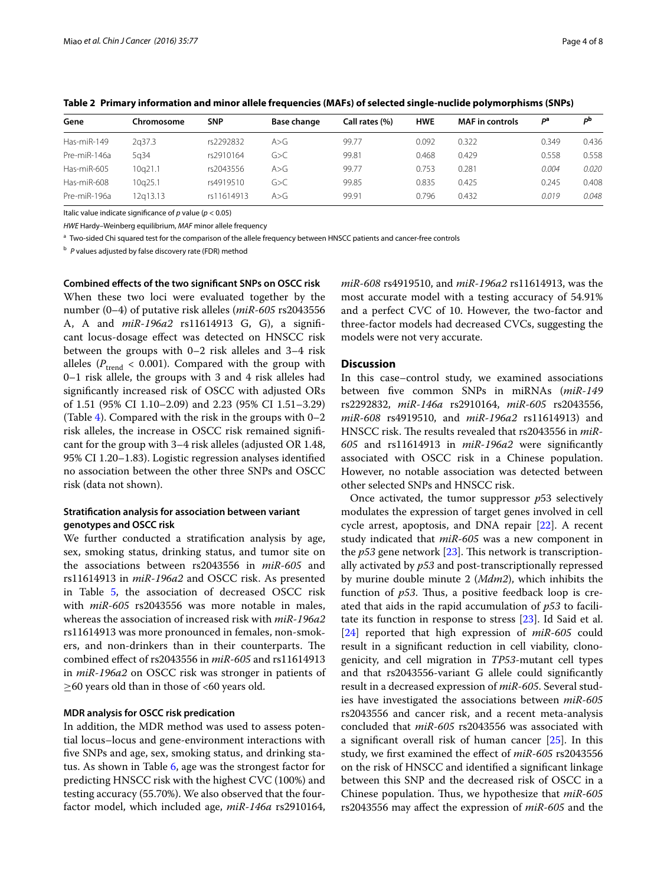| Gene         | Chromosome | <b>SNP</b> | <b>Base change</b> | Call rates (%) | <b>HWE</b> | <b>MAF</b> in controls | рa    | рb    |
|--------------|------------|------------|--------------------|----------------|------------|------------------------|-------|-------|
| Has-miR-149  | 2a37.3     | rs2292832  | A>G                | 99.77          | 0.092      | 0.322                  | 0.349 | 0.436 |
| Pre-miR-146a | 5a34       | rs2910164  | G>C                | 99.81          | 0.468      | 0.429                  | 0.558 | 0.558 |
| Has-miR-605  | 10a21.1    | rs2043556  | A > G              | 99.77          | 0.753      | 0.281                  | 0.004 | 0.020 |
| Has-miR-608  | 10a25.1    | rs4919510  | G>C                | 99.85          | 0.835      | 0.425                  | 0.245 | 0.408 |
| Pre-miR-196a | l2a13.13   | rs11614913 | A > G              | 99.91          | 0.796      | 0.432                  | 0.019 | 0.048 |

<span id="page-3-0"></span>**Table 2 Primary information and minor allele frequencies (MAFs) of selected single-nuclide polymorphisms (SNPs)**

Italic value indicate significance of *p* value (*p* < 0.05)

*HWE* Hardy–Weinberg equilibrium, *MAF* minor allele frequency

<sup>a</sup> Two-sided Chi squared test for the comparison of the allele frequency between HNSCC patients and cancer-free controls

<sup>b</sup> *P* values adjusted by false discovery rate (FDR) method

**Combined effects of the two significant SNPs on OSCC risk** When these two loci were evaluated together by the number (0–4) of putative risk alleles (*miR*-*605* rs2043556 A, A and *miR*-*196a2* rs11614913 G, G), a significant locus-dosage effect was detected on HNSCC risk between the groups with 0–2 risk alleles and 3–4 risk alleles ( $P_{\text{trend}} < 0.001$ ). Compared with the group with 0–1 risk allele, the groups with 3 and 4 risk alleles had significantly increased risk of OSCC with adjusted ORs of 1.51 (95% CI 1.10–2.09) and 2.23 (95% CI 1.51–3.29) (Table [4\)](#page-5-0). Compared with the risk in the groups with  $0-2$ risk alleles, the increase in OSCC risk remained significant for the group with 3–4 risk alleles (adjusted OR 1.48, 95% CI 1.20–1.83). Logistic regression analyses identified no association between the other three SNPs and OSCC risk (data not shown).

# **Stratification analysis for association between variant genotypes and OSCC risk**

We further conducted a stratification analysis by age, sex, smoking status, drinking status, and tumor site on the associations between rs2043556 in *miR*-*605* and rs11614913 in *miR*-*196a2* and OSCC risk. As presented in Table [5,](#page-5-1) the association of decreased OSCC risk with *miR*-*605* rs2043556 was more notable in males, whereas the association of increased risk with *miR*-*196a2* rs11614913 was more pronounced in females, non-smokers, and non-drinkers than in their counterparts. The combined effect of rs2043556 in *miR*-*605* and rs11614913 in *miR*-*196a2* on OSCC risk was stronger in patients of  $\geq$ 60 years old than in those of <60 years old.

# **MDR analysis for OSCC risk predication**

In addition, the MDR method was used to assess potential locus–locus and gene-environment interactions with five SNPs and age, sex, smoking status, and drinking status. As shown in Table [6](#page-6-0), age was the strongest factor for predicting HNSCC risk with the highest CVC (100%) and testing accuracy (55.70%). We also observed that the fourfactor model, which included age, *miR*-*146a* rs2910164, *miR*-*608* rs4919510, and *miR*-*196a2* rs11614913, was the most accurate model with a testing accuracy of 54.91% and a perfect CVC of 10. However, the two-factor and three-factor models had decreased CVCs, suggesting the models were not very accurate.

# **Discussion**

In this case–control study, we examined associations between five common SNPs in miRNAs (*miR*-*149* rs2292832, *miR*-*146a* rs2910164, *miR*-*605* rs2043556, *miR*-*608* rs4919510, and *miR*-*196a2* rs11614913) and HNSCC risk. The results revealed that rs2043556 in *miR*-*605* and rs11614913 in *miR*-*196a2* were significantly associated with OSCC risk in a Chinese population. However, no notable association was detected between other selected SNPs and HNSCC risk.

Once activated, the tumor suppressor *p*53 selectively modulates the expression of target genes involved in cell cycle arrest, apoptosis, and DNA repair [\[22](#page-7-20)]. A recent study indicated that *miR*-*605* was a new component in the *p53* gene network [[23\]](#page-7-21). This network is transcriptionally activated by *p53* and post-transcriptionally repressed by murine double minute 2 (*Mdm2*), which inhibits the function of *p53*. Thus, a positive feedback loop is created that aids in the rapid accumulation of *p53* to facilitate its function in response to stress [[23\]](#page-7-21). Id Said et al. [[24\]](#page-7-22) reported that high expression of *miR*-*605* could result in a significant reduction in cell viability, clonogenicity, and cell migration in *TP53*-mutant cell types and that rs2043556-variant G allele could significantly result in a decreased expression of *miR*-*605*. Several studies have investigated the associations between *miR*-*605* rs2043556 and cancer risk, and a recent meta-analysis concluded that *miR*-*605* rs2043556 was associated with a significant overall risk of human cancer [[25\]](#page-7-23). In this study, we first examined the effect of *miR*-*605* rs2043556 on the risk of HNSCC and identified a significant linkage between this SNP and the decreased risk of OSCC in a Chinese population. Thus, we hypothesize that *miR*-*605* rs2043556 may affect the expression of *miR*-*605* and the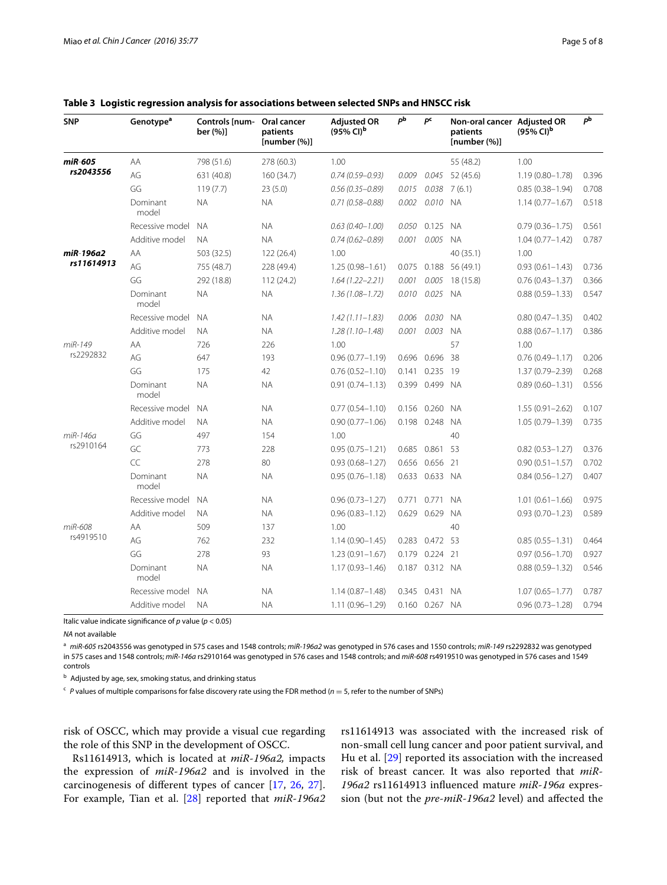| <b>SNP</b>           | Genotype <sup>a</sup> | Controls [num-<br>ber (%)] | Oral cancer<br>patients<br>[number(%)] | <b>Adjusted OR</b><br>$(95\%$ CI) <sup>b</sup> | рb    | pc             | Non-oral cancer Adjusted OR<br>patients<br>[number(%)] | $(95\%$ CI) <sup>b</sup> | pb    |
|----------------------|-----------------------|----------------------------|----------------------------------------|------------------------------------------------|-------|----------------|--------------------------------------------------------|--------------------------|-------|
| miR-605              | AA                    | 798 (51.6)                 | 278 (60.3)                             | 1.00                                           |       |                | 55 (48.2)                                              | 1.00                     |       |
| rs2043556            | AG                    | 631 (40.8)                 | 160 (34.7)                             | $0.74(0.59 - 0.93)$                            | 0.009 | 0.045          | 52 (45.6)                                              | $1.19(0.80 - 1.78)$      | 0.396 |
|                      | GG                    | 119(7.7)                   | 23(5.0)                                | $0.56(0.35 - 0.89)$                            | 0.015 | 0.038          | 7(6.1)                                                 | $0.85(0.38 - 1.94)$      | 0.708 |
|                      | Dominant<br>model     | <b>NA</b>                  | <b>NA</b>                              | $0.71(0.58 - 0.88)$                            | 0.002 | 0.010 NA       |                                                        | $1.14(0.77 - 1.67)$      | 0.518 |
|                      | Recessive model       | <b>NA</b>                  | <b>NA</b>                              | $0.63(0.40 - 1.00)$                            | 0.050 | 0.125          | <b>NA</b>                                              | $0.79(0.36 - 1.75)$      | 0.561 |
|                      | Additive model        | <b>NA</b>                  | <b>NA</b>                              | $0.74(0.62 - 0.89)$                            | 0.001 | 0.005          | <b>NA</b>                                              | $1.04(0.77 - 1.42)$      | 0.787 |
| miR-196a2            | AA                    | 503 (32.5)                 | 122 (26.4)                             | 1.00                                           |       |                | 40 (35.1)                                              | 1.00                     |       |
| rs11614913           | AG                    | 755 (48.7)                 | 228 (49.4)                             | $1.25(0.98 - 1.61)$                            | 0.075 | 0.188          | 56 (49.1)                                              | $0.93(0.61 - 1.43)$      | 0.736 |
|                      | GG                    | 292 (18.8)                 | 112(24.2)                              | $1.64(1.22 - 2.21)$                            | 0.001 | 0.005          | 18 (15.8)                                              | $0.76(0.43 - 1.37)$      | 0.366 |
|                      | Dominant<br>model     | <b>NA</b>                  | <b>NA</b>                              | $1.36(1.08 - 1.72)$                            | 0.010 | 0.025          | <b>NA</b>                                              | $0.88(0.59 - 1.33)$      | 0.547 |
|                      | Recessive model       | <b>NA</b>                  | <b>NA</b>                              | $1.42(1.11 - 1.83)$                            | 0.006 | 0.030          | <b>NA</b>                                              | $0.80(0.47 - 1.35)$      | 0.402 |
|                      | Additive model        | <b>NA</b>                  | <b>NA</b>                              | $1.28(1.10 - 1.48)$                            | 0.001 | 0.003          | <b>NA</b>                                              | $0.88(0.67 - 1.17)$      | 0.386 |
| miR-149<br>rs2292832 | AA                    | 726                        | 226                                    | 1.00                                           |       |                | 57                                                     | 1.00                     |       |
|                      | AG                    | 647                        | 193                                    | $0.96(0.77 - 1.19)$                            |       | 0.696 0.696    | 38                                                     | $0.76(0.49 - 1.17)$      | 0.206 |
|                      | GG                    | 175                        | 42                                     | $0.76(0.52 - 1.10)$                            |       | 0.141 0.235    | -19                                                    | 1.37 (0.79-2.39)         | 0.268 |
|                      | Dominant<br>model     | <b>NA</b>                  | <b>NA</b>                              | $0.91(0.74 - 1.13)$                            |       | 0.399 0.499 NA |                                                        | $0.89(0.60 - 1.31)$      | 0.556 |
|                      | Recessive model       | <b>NA</b>                  | <b>NA</b>                              | $0.77(0.54 - 1.10)$                            | 0.156 | 0.260          | N A                                                    | $1.55(0.91 - 2.62)$      | 0.107 |
|                      | Additive model        | <b>NA</b>                  | <b>NA</b>                              | $0.90(0.77 - 1.06)$                            |       | 0.198 0.248 NA |                                                        | $1.05(0.79 - 1.39)$      | 0.735 |
| miR-146a             | GG                    | 497                        | 154                                    | 1.00                                           |       |                | 40                                                     |                          |       |
| rs2910164            | GC                    | 773                        | 228                                    | $0.95(0.75 - 1.21)$                            | 0.685 | 0.861          | 53                                                     | $0.82(0.53 - 1.27)$      | 0.376 |
|                      | CC                    | 278                        | 80                                     | $0.93(0.68 - 1.27)$                            |       | 0.656 0.656    | 21                                                     | $0.90(0.51 - 1.57)$      | 0.702 |
|                      | Dominant<br>model     | <b>NA</b>                  | <b>NA</b>                              | $0.95(0.76 - 1.18)$                            |       | 0.633 0.633 NA |                                                        | $0.84(0.56 - 1.27)$      | 0.407 |
|                      | Recessive model       | <b>NA</b>                  | <b>NA</b>                              | $0.96(0.73 - 1.27)$                            | 0.771 | 0.771          | <b>NA</b>                                              | $1.01(0.61 - 1.66)$      | 0.975 |
|                      | Additive model        | <b>NA</b>                  | <b>NA</b>                              | $0.96(0.83 - 1.12)$                            | 0.629 | 0.629          | <b>NA</b>                                              | $0.93(0.70 - 1.23)$      | 0.589 |
| miR-608              | ΑA                    | 509                        | 137                                    | 1.00                                           |       |                | 40                                                     |                          |       |
| rs4919510            | AG                    | 762                        | 232                                    | $1.14(0.90 - 1.45)$                            |       | 0.283 0.472 53 |                                                        | $0.85(0.55 - 1.31)$      | 0.464 |
|                      | GG                    | 278                        | 93                                     | $1.23(0.91 - 1.67)$                            |       | 0.179 0.224 21 |                                                        | $0.97(0.56 - 1.70)$      | 0.927 |
|                      | Dominant<br>model     | <b>NA</b>                  | <b>NA</b>                              | $1.17(0.93 - 1.46)$                            |       | 0.187 0.312 NA |                                                        | $0.88(0.59 - 1.32)$      | 0.546 |
|                      | Recessive model       | <b>NA</b>                  | <b>NA</b>                              | $1.14(0.87 - 1.48)$                            |       | 0.345 0.431 NA |                                                        | $1.07(0.65 - 1.77)$      | 0.787 |
|                      | Additive model        | <b>NA</b>                  | <b>NA</b>                              | $1.11(0.96 - 1.29)$                            |       | 0.160 0.267 NA |                                                        | $0.96(0.73 - 1.28)$      | 0.794 |

# <span id="page-4-0"></span>**Table 3 Logistic regression analysis for associations between selected SNPs and HNSCC risk**

Italic value indicate significance of *p* value (*p* < 0.05)

*NA* not available

<sup>a</sup> *miR*-*605* rs2043556 was genotyped in 575 cases and 1548 controls; *miR*-*196a2* was genotyped in 576 cases and 1550 controls; *miR*-*149* rs2292832 was genotyped in 575 cases and 1548 controls; *miR*-*146a* rs2910164 was genotyped in 576 cases and 1548 controls; and *miR*-*608* rs4919510 was genotyped in 576 cases and 1549 controls

b Adjusted by age, sex, smoking status, and drinking status

 $c$  *P* values of multiple comparisons for false discovery rate using the FDR method ( $n = 5$ , refer to the number of SNPs)

risk of OSCC, which may provide a visual cue regarding the role of this SNP in the development of OSCC.

Rs11614913, which is located at *miR*-*196a2,* impacts the expression of *miR*-*196a2* and is involved in the carcinogenesis of different types of cancer [\[17](#page-7-15), [26](#page-7-24), [27](#page-7-25)]. For example, Tian et al. [[28\]](#page-7-26) reported that *miR*-*196a2* rs11614913 was associated with the increased risk of non-small cell lung cancer and poor patient survival, and Hu et al. [[29\]](#page-7-27) reported its association with the increased risk of breast cancer. It was also reported that *miR*-*196a2* rs11614913 influenced mature *miR*-*196a* expression (but not the *pre*-*miR*-*196a2* level) and affected the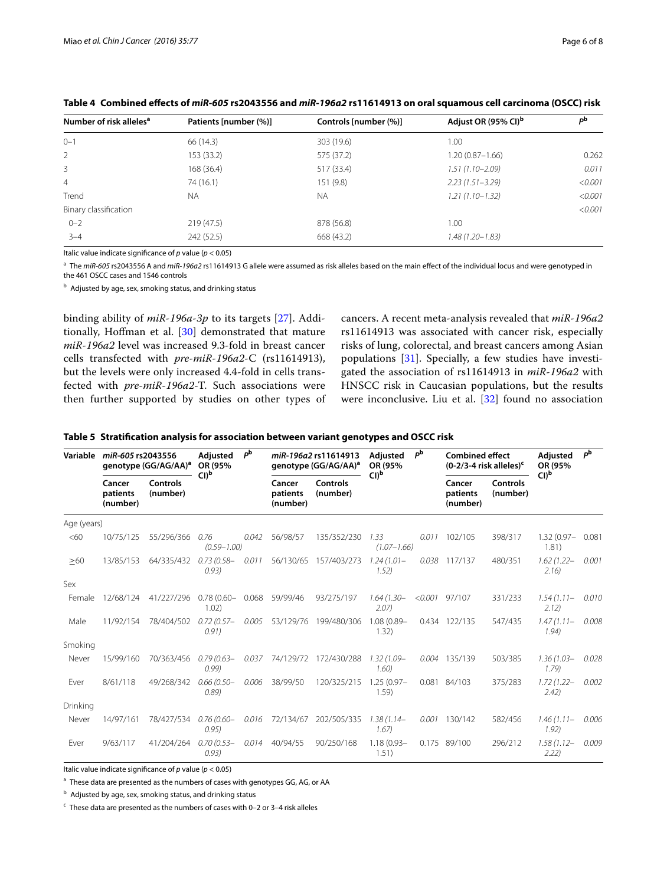| Number of risk alleles <sup>a</sup> | Patients [number (%)] | Controls [number (%)] | Adjust OR (95% CI) <sup>b</sup> | pb      |
|-------------------------------------|-----------------------|-----------------------|---------------------------------|---------|
| $0 - 1$                             | 66 (14.3)             | 303 (19.6)            | 1.00                            |         |
| 2                                   | 153 (33.2)            | 575 (37.2)            | $1.20(0.87 - 1.66)$             | 0.262   |
| 3                                   | 168 (36.4)            | 517 (33.4)            | $1.51(1.10 - 2.09)$             | 0.011   |
| $\overline{4}$                      | 74(16.1)              | 151(9.8)              | $2.23(1.51 - 3.29)$             | < 0.001 |
| Trend                               | <b>NA</b>             | <b>NA</b>             | $1.21(1.10 - 1.32)$             | < 0.001 |
| Binary classification               |                       |                       |                                 | < 0.001 |
| $0 - 2$                             | 219 (47.5)            | 878 (56.8)            | 1.00                            |         |
| $3 - 4$                             | 242(52.5)             | 668 (43.2)            | 1.48 (1.20–1.83)                |         |

<span id="page-5-0"></span>**Table 4 Combined effects of** *miR***-***605* **rs2043556 and** *miR***-***196a2* **rs11614913 on oral squamous cell carcinoma (OSCC) risk**

Italic value indicate significance of *p* value (*p* < 0.05)

<sup>a</sup> The *miR-605* rs2043556 A and *miR-196a2* rs11614913 G allele were assumed as risk alleles based on the main effect of the individual locus and were genotyped in

the 461 OSCC cases and 1546 controls

 $b$  Adjusted by age, sex, smoking status, and drinking status

binding ability of *miR*-*196a*-*3p* to its targets [\[27](#page-7-25)]. Additionally, Hoffman et al. [\[30](#page-7-28)] demonstrated that mature *miR*-*196a2* level was increased 9.3-fold in breast cancer cells transfected with *pre*-*miR*-*196a2*-C (rs11614913), but the levels were only increased 4.4-fold in cells transfected with *pre*-*miR*-*196a2*-T. Such associations were then further supported by studies on other types of cancers. A recent meta-analysis revealed that *miR*-*196a2* rs11614913 was associated with cancer risk, especially risks of lung, colorectal, and breast cancers among Asian populations [\[31](#page-7-29)]. Specially, a few studies have investigated the association of rs11614913 in *miR*-*196a2* with HNSCC risk in Caucasian populations, but the results were inconclusive. Liu et al. [\[32](#page-7-30)] found no association

#### <span id="page-5-1"></span>**Table 5 Stratification analysis for association between variant genotypes and OSCC risk**

| Variable    | miR-605 rs2043556<br>genotype (GG/AG/AA) <sup>a</sup> |                      | Adjusted<br>OR (95%           | рb    |                                | miR-196a2 rs11614913<br>genotype (GG/AG/AA) <sup>a</sup> |                         | рb      | <b>Combined effect</b><br>$(0-2/3-4$ risk alleles) <sup>c</sup> |                      | Adjusted<br>OR (95%     | рb    |
|-------------|-------------------------------------------------------|----------------------|-------------------------------|-------|--------------------------------|----------------------------------------------------------|-------------------------|---------|-----------------------------------------------------------------|----------------------|-------------------------|-------|
|             | Cancer<br>patients<br>(number)                        | Controls<br>(number) | Cl) <sub>b</sub>              |       | Cancer<br>patients<br>(number) | Controls<br>(number)                                     | Cl) <sub>b</sub>        |         | Cancer<br>patients<br>(number)                                  | Controls<br>(number) | CI) <sup>b</sup>        |       |
| Age (years) |                                                       |                      |                               |       |                                |                                                          |                         |         |                                                                 |                      |                         |       |
| <60         | 10/75/125                                             | 55/296/366           | 0.76<br>$(0.59 - 1.00)$       | 0.042 | 56/98/57                       | 135/352/230                                              | 1.33<br>$(1.07 - 1.66)$ | 0.011   | 102/105                                                         | 398/317              | $1.32(0.97 -$<br>1.81)  | 0.081 |
| >60         | 13/85/153                                             | 64/335/432           | $0.73(0.58 -$<br>(0.93)       | 0.011 | 56/130/65                      | 157/403/273                                              | $1.24(1.01 -$<br>1.52)  |         | 0.038 117/137                                                   | 480/351              | $1.62(1.22 -$<br>2.16   | 0.001 |
| Sex         |                                                       |                      |                               |       |                                |                                                          |                         |         |                                                                 |                      |                         |       |
| Female      | 12/68/124                                             | 41/227/296           | $0.78(0.60 - 0.068)$<br>1.02) |       | 59/99/46                       | 93/275/197                                               | $1.64(1.30 -$<br>2.07)  | < 0.001 | 97/107                                                          | 331/233              | $1.54(1.11 -$<br>2.12)  | 0.010 |
| Male        | 11/92/154                                             | 78/404/502           | $0.72(0.57 -$<br>(0.91)       | 0.005 | 53/129/76                      | 199/480/306                                              | 1.08 (0.89-<br>1.32)    |         | 0.434 122/135                                                   | 547/435              | $1.47(1.11 -$<br>1.94)  | 0.008 |
| Smoking     |                                                       |                      |                               |       |                                |                                                          |                         |         |                                                                 |                      |                         |       |
| Never       | 15/99/160                                             | 70/363/456           | $0.79(0.63 -$<br>(0.99)       | 0.037 | 74/129/72                      | 172/430/288                                              | $1.32(1.09 -$<br>1.60)  |         | 0.004 135/139                                                   | 503/385              | $1.36(1.03 -$<br>1,79   | 0.028 |
| Ever        | 8/61/118                                              | 49/268/342           | $0.66(0.50 -$<br>(0.89)       | 0.006 | 38/99/50                       | 120/325/215                                              | $1.25(0.97 -$<br>1.59)  |         | 0.081 84/103                                                    | 375/283              | $1.72(1.22 -$<br>(2.42) | 0.002 |
| Drinking    |                                                       |                      |                               |       |                                |                                                          |                         |         |                                                                 |                      |                         |       |
| Never       | 14/97/161                                             | 78/427/534           | $0.76(0.60 -$<br>(0.95)       | 0.016 | 72/134/67                      | 202/505/335                                              | $1.38(1.14 -$<br>1.67   | 0.001   | 130/142                                                         | 582/456              | $1.46(1.11 -$<br>1.92)  | 0.006 |
| Ever        | 9/63/117                                              | 41/204/264           | $0.70(0.53 -$<br>(0.93)       | 0.014 | 40/94/55                       | 90/250/168                                               | $1.18(0.93 -$<br>1.51)  | 0.175   | 89/100                                                          | 296/212              | $1.58(1.12 -$<br>2.22)  | 0.009 |

Italic value indicate significance of *p* value (*p* < 0.05)

<sup>a</sup> These data are presented as the numbers of cases with genotypes GG, AG, or AA

 $<sup>b</sup>$  Adjusted by age, sex, smoking status, and drinking status</sup>

 $\cdot$  These data are presented as the numbers of cases with 0-2 or 3-4 risk alleles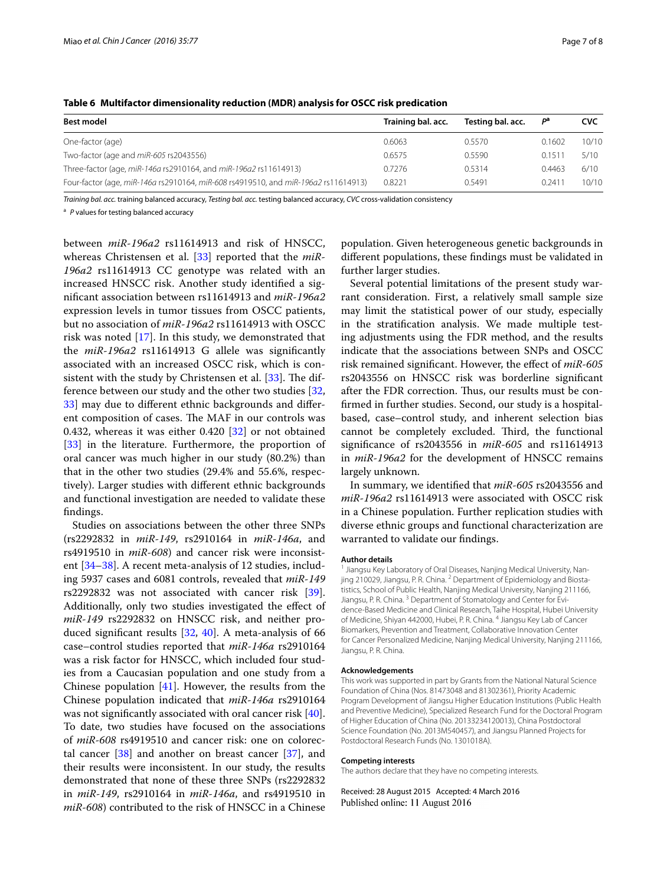| <b>Best model</b>                                                                  | Training bal. acc. | Testing bal. acc. | Pa     | <b>CVC</b> |
|------------------------------------------------------------------------------------|--------------------|-------------------|--------|------------|
| One-factor (age)                                                                   | 0.6063             | 0.5570            | 0.1602 | 10/10      |
| Two-factor (age and miR-605 rs2043556)                                             | 0.6575             | 0.5590            | 0.1511 | 5/10       |
| Three-factor (age, miR-146a rs2910164, and miR-196a2 rs11614913)                   | 0.7276             | 0.5314            | 0.4463 | 6/10       |
| Four-factor (age, miR-146a rs2910164, miR-608 rs4919510, and miR-196a2 rs11614913) | 0.8221             | 0.5491            | 0.2411 | 10/10      |

<span id="page-6-0"></span>**Table 6 Multifactor dimensionality reduction (MDR) analysis for OSCC risk predication**

*Training bal. acc.* training balanced accuracy, *Testing bal. acc.* testing balanced accuracy, *CVC* cross-validation consistency

<sup>a</sup> *P* values for testing balanced accuracy

between *miR*-*196a2* rs11614913 and risk of HNSCC, whereas Christensen et al. [[33\]](#page-7-31) reported that the *miR*-*196a2* rs11614913 CC genotype was related with an increased HNSCC risk. Another study identified a significant association between rs11614913 and *miR*-*196a2* expression levels in tumor tissues from OSCC patients, but no association of *miR*-*196a2* rs11614913 with OSCC risk was noted [[17\]](#page-7-15). In this study, we demonstrated that the *miR*-*196a2* rs11614913 G allele was significantly associated with an increased OSCC risk, which is consistent with the study by Christensen et al. [[33](#page-7-31)]. The difference between our study and the other two studies [\[32](#page-7-30), [33\]](#page-7-31) may due to different ethnic backgrounds and different composition of cases. The MAF in our controls was 0.432, whereas it was either 0.420 [\[32](#page-7-30)] or not obtained [[33\]](#page-7-31) in the literature. Furthermore, the proportion of oral cancer was much higher in our study (80.2%) than that in the other two studies (29.4% and 55.6%, respectively). Larger studies with different ethnic backgrounds and functional investigation are needed to validate these findings.

Studies on associations between the other three SNPs (rs2292832 in *miR*-*149*, rs2910164 in *miR*-*146a*, and rs4919510 in *miR*-*608*) and cancer risk were inconsistent [\[34](#page-7-32)[–38](#page-7-33)]. A recent meta-analysis of 12 studies, including 5937 cases and 6081 controls, revealed that *miR*-*149* rs2292832 was not associated with cancer risk [\[39](#page-7-34)]. Additionally, only two studies investigated the effect of *miR*-*149* rs2292832 on HNSCC risk, and neither produced significant results [[32,](#page-7-30) [40](#page-7-35)]. A meta-analysis of 66 case–control studies reported that *miR*-*146a* rs2910164 was a risk factor for HNSCC, which included four studies from a Caucasian population and one study from a Chinese population  $[41]$  $[41]$ . However, the results from the Chinese population indicated that *miR*-*146a* rs2910164 was not significantly associated with oral cancer risk [\[40](#page-7-35)]. To date, two studies have focused on the associations of *miR*-*608* rs4919510 and cancer risk: one on colorectal cancer  $[38]$  $[38]$  and another on breast cancer  $[37]$  $[37]$ , and their results were inconsistent. In our study, the results demonstrated that none of these three SNPs (rs2292832 in *miR*-*149*, rs2910164 in *miR*-*146a*, and rs4919510 in *miR*-*608*) contributed to the risk of HNSCC in a Chinese

population. Given heterogeneous genetic backgrounds in different populations, these findings must be validated in further larger studies.

Several potential limitations of the present study warrant consideration. First, a relatively small sample size may limit the statistical power of our study, especially in the stratification analysis. We made multiple testing adjustments using the FDR method, and the results indicate that the associations between SNPs and OSCC risk remained significant. However, the effect of *miR*-*605* rs2043556 on HNSCC risk was borderline significant after the FDR correction. Thus, our results must be confirmed in further studies. Second, our study is a hospitalbased, case–control study, and inherent selection bias cannot be completely excluded. Third, the functional significance of rs2043556 in *miR*-*605* and rs11614913 in *miR*-*196a2* for the development of HNSCC remains largely unknown.

In summary, we identified that *miR*-*605* rs2043556 and *miR*-*196a2* rs11614913 were associated with OSCC risk in a Chinese population. Further replication studies with diverse ethnic groups and functional characterization are warranted to validate our findings.

#### **Author details**

<sup>1</sup> Jiangsu Key Laboratory of Oral Diseases, Nanjing Medical University, Nanjing 210029, Jiangsu, P. R. China. <sup>2</sup> Department of Epidemiology and Biostatistics, School of Public Health, Nanjing Medical University, Nanjing 211166, Jiangsu, P. R. China. <sup>3</sup> Department of Stomatology and Center for Evidence-Based Medicine and Clinical Research, Taihe Hospital, Hubei University of Medicine, Shiyan 442000, Hubei, P. R. China. 4 Jiangsu Key Lab of Cancer Biomarkers, Prevention and Treatment, Collaborative Innovation Center for Cancer Personalized Medicine, Nanjing Medical University, Nanjing 211166, Jiangsu, P. R. China.

#### **Acknowledgements**

This work was supported in part by Grants from the National Natural Science Foundation of China (Nos. 81473048 and 81302361), Priority Academic Program Development of Jiangsu Higher Education Institutions (Public Health and Preventive Medicine), Specialized Research Fund for the Doctoral Program of Higher Education of China (No. 20133234120013), China Postdoctoral Science Foundation (No. 2013M540457), and Jiangsu Planned Projects for Postdoctoral Research Funds (No. 1301018A).

#### **Competing interests**

The authors declare that they have no competing interests.

Received: 28 August 2015 Accepted: 4 March 2016 Published online: 11 August 2016